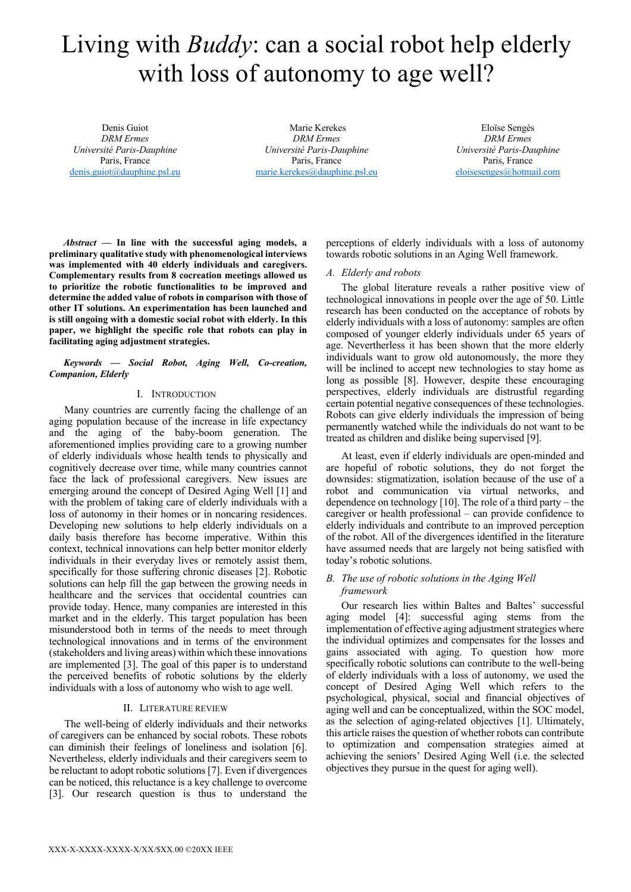# Living with *Buddy*: can a social robot help elderly with loss of autonomy to age well?

Denis Guiot *DRM Ermes Université Paris-Dauphine* Paris, France denis.guiot@dauphine.psl.eu

Marie Kerekes *DRM Ermes Université Paris-Dauphine* Paris, France marie.kerekes@dauphine.psl.eu

Eloïse Sengès *DRM Ermes Université Paris-Dauphine* Paris, France eloisesenges@hotmail.com

*Abstract* **— In line with the successful aging models, a preliminary qualitative study with phenomenological interviews was implemented with 40 elderly individuals and caregivers. Complementary results from 8 cocreation meetings allowed us to prioritize the robotic functionalities to be improved and determine the added value of robots in comparison with those of other IT solutions. An experimentation has been launched and is still ongoing with a domestic social robot with elderly. In this paper, we highlight the specific role that robots can play in facilitating aging adjustment strategies.** 

## *Keywords — Social Robot, Aging Well, Co-creation, Companion, Elderly*

## I. INTRODUCTION

Many countries are currently facing the challenge of an aging population because of the increase in life expectancy and the aging of the baby-boom generation. The aforementioned implies providing care to a growing number of elderly individuals whose health tends to physically and cognitively decrease over time, while many countries cannot face the lack of professional caregivers. New issues are emerging around the concept of Desired Aging Well [1] and with the problem of taking care of elderly individuals with a loss of autonomy in their homes or in noncaring residences. Developing new solutions to help elderly individuals on a daily basis therefore has become imperative. Within this context, technical innovations can help better monitor elderly individuals in their everyday lives or remotely assist them, specifically for those suffering chronic diseases [2]. Robotic solutions can help fill the gap between the growing needs in healthcare and the services that occidental countries can provide today. Hence, many companies are interested in this market and in the elderly. This target population has been misunderstood both in terms of the needs to meet through technological innovations and in terms of the environment (stakeholders and living areas) within which these innovations are implemented [3]. The goal of this paper is to understand the perceived benefits of robotic solutions by the elderly individuals with a loss of autonomy who wish to age well.

## II. LITERATURE REVIEW

The well-being of elderly individuals and their networks of caregivers can be enhanced by social robots. These robots can diminish their feelings of loneliness and isolation [6]. Nevertheless, elderly individuals and their caregivers seem to be reluctant to adopt robotic solutions [7]. Even if divergences can be noticed, this reluctance is a key challenge to overcome [3]. Our research question is thus to understand the perceptions of elderly individuals with a loss of autonomy towards robotic solutions in an Aging Well framework.

## *A. Elderly and robots*

The global literature reveals a rather positive view of technological innovations in people over the age of 50. Little research has been conducted on the acceptance of robots by elderly individuals with a loss of autonomy: samples are often composed of younger elderly individuals under 65 years of age. Nevertherless it has been shown that the more elderly individuals want to grow old autonomously, the more they will be inclined to accept new technologies to stay home as long as possible [8]. However, despite these encouraging perspectives, elderly individuals are distrustful regarding certain potential negative consequences of these technologies. Robots can give elderly individuals the impression of being permanently watched while the individuals do not want to be treated as children and dislike being supervised [9].

At least, even if elderly individuals are open-minded and are hopeful of robotic solutions, they do not forget the downsides: stigmatization, isolation because of the use of a robot and communication via virtual networks, and dependence on technology [10]. The role of a third party – the caregiver or health professional – can provide confidence to elderly individuals and contribute to an improved perception of the robot. All of the divergences identified in the literature have assumed needs that are largely not being satisfied with today's robotic solutions.

## *B. The use of robotic solutions in the Aging Well framework*

Our research lies within Baltes and Baltes' successful aging model [4]: successful aging stems from the implementation of effective aging adjustment strategies where the individual optimizes and compensates for the losses and gains associated with aging. To question how more specifically robotic solutions can contribute to the well-being of elderly individuals with a loss of autonomy, we used the concept of Desired Aging Well which refers to the psychological, physical, social and financial objectives of aging well and can be conceptualized, within the SOC model, as the selection of aging-related objectives [1]. Ultimately, this article raises the question of whether robots can contribute to optimization and compensation strategies aimed at achieving the seniors' Desired Aging Well (i.e. the selected objectives they pursue in the quest for aging well).